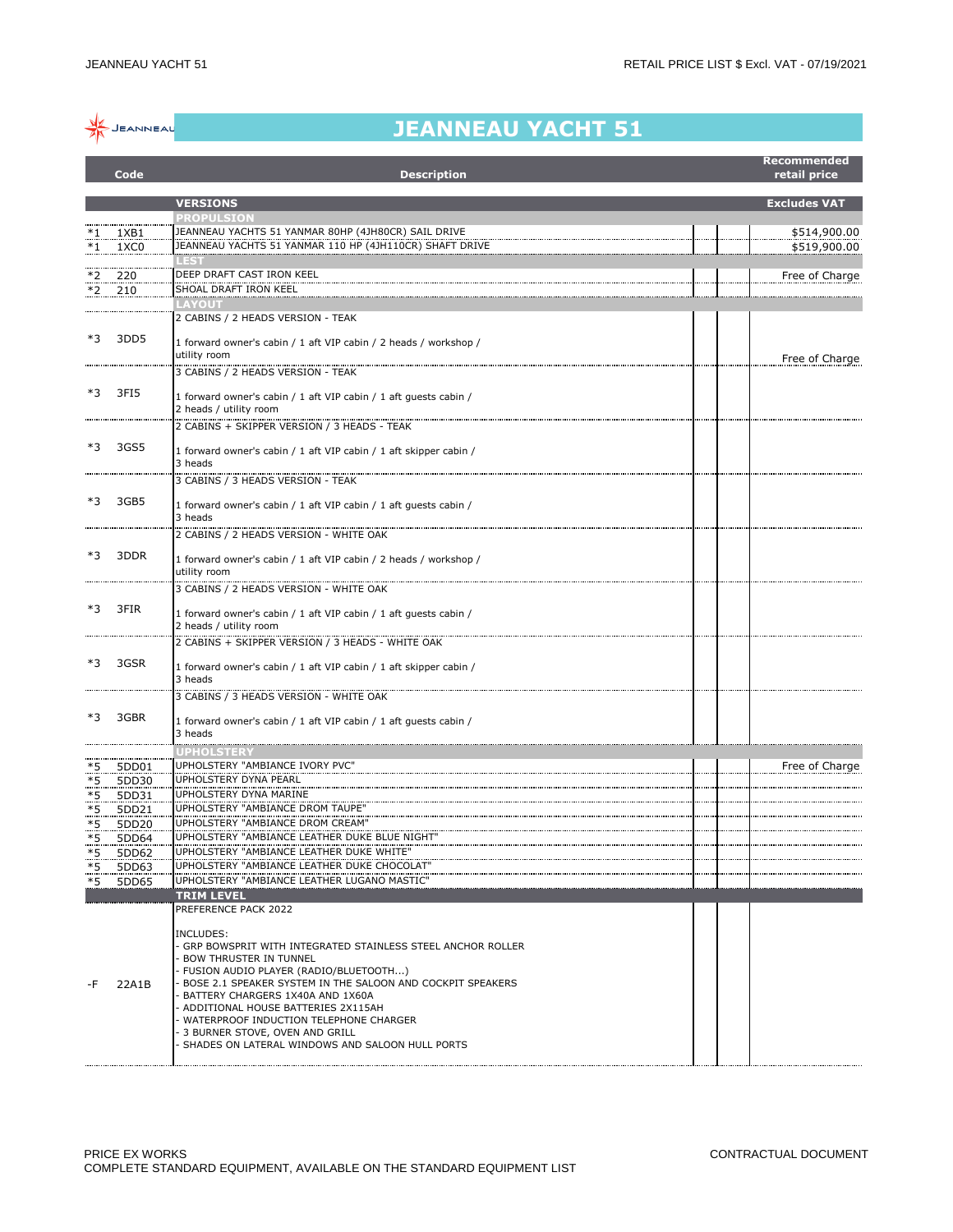

## **JEANNEAU YACHT 51**

|            | Code           | <b>Description</b>                                                                                                                                                                                                                                                                                                                                                                                                        |  | Recommended<br>retail price |
|------------|----------------|---------------------------------------------------------------------------------------------------------------------------------------------------------------------------------------------------------------------------------------------------------------------------------------------------------------------------------------------------------------------------------------------------------------------------|--|-----------------------------|
|            |                | <b>VERSIONS</b>                                                                                                                                                                                                                                                                                                                                                                                                           |  | <b>Excludes VAT</b>         |
|            |                | <b>PROPULSION</b>                                                                                                                                                                                                                                                                                                                                                                                                         |  |                             |
|            | 1XB1           | JEANNEAU YACHTS 51 YANMAR 80HP (4JH80CR) SAIL DRIVE                                                                                                                                                                                                                                                                                                                                                                       |  | \$514,900.00                |
| $*1$       | 1XC0           | JEANNEAU YACHTS 51 YANMAR 110 HP (4JH110CR) SHAFT DRIVE                                                                                                                                                                                                                                                                                                                                                                   |  | \$519,900.00                |
|            |                | - 55<br>DEEP DRAFT CAST IRON KEEL                                                                                                                                                                                                                                                                                                                                                                                         |  |                             |
| *2<br>*2   | 220<br>210     | SHOAL DRAFT IRON KEEL                                                                                                                                                                                                                                                                                                                                                                                                     |  | Free of Charge              |
|            |                | <b>LAYOUT</b>                                                                                                                                                                                                                                                                                                                                                                                                             |  |                             |
|            |                | 2 CABINS / 2 HEADS VERSION - TEAK                                                                                                                                                                                                                                                                                                                                                                                         |  |                             |
| *3         | 3DD5           | 1 forward owner's cabin / 1 aft VIP cabin / 2 heads / workshop /<br>utility room                                                                                                                                                                                                                                                                                                                                          |  | Free of Charge              |
|            |                | 3 CABINS / 2 HEADS VERSION - TEAK                                                                                                                                                                                                                                                                                                                                                                                         |  |                             |
| *3         | 3FI5           | 1 forward owner's cabin / 1 aft VIP cabin / 1 aft guests cabin /<br>2 heads / utility room                                                                                                                                                                                                                                                                                                                                |  |                             |
|            |                | 2 CABINS + SKIPPER VERSION / 3 HEADS - TEAK                                                                                                                                                                                                                                                                                                                                                                               |  |                             |
| *3         | 3GS5           |                                                                                                                                                                                                                                                                                                                                                                                                                           |  |                             |
|            |                | 1 forward owner's cabin / 1 aft VIP cabin / 1 aft skipper cabin /<br>3 heads                                                                                                                                                                                                                                                                                                                                              |  |                             |
|            |                | 3 CABINS / 3 HEADS VERSION - TEAK                                                                                                                                                                                                                                                                                                                                                                                         |  |                             |
| $*3$       | 3GB5           |                                                                                                                                                                                                                                                                                                                                                                                                                           |  |                             |
|            |                | 1 forward owner's cabin / 1 aft VIP cabin / 1 aft guests cabin /<br>3 heads                                                                                                                                                                                                                                                                                                                                               |  |                             |
|            |                | 2 CABINS / 2 HEADS VERSION - WHITE OAK                                                                                                                                                                                                                                                                                                                                                                                    |  |                             |
| $*3$       | 3DDR           | 1 forward owner's cabin / 1 aft VIP cabin / 2 heads / workshop /<br>utility room                                                                                                                                                                                                                                                                                                                                          |  |                             |
|            |                | 3 CABINS / 2 HEADS VERSION - WHITE OAK                                                                                                                                                                                                                                                                                                                                                                                    |  |                             |
| *3         | 3FIR           | 1 forward owner's cabin / 1 aft VIP cabin / 1 aft guests cabin /<br>2 heads / utility room                                                                                                                                                                                                                                                                                                                                |  |                             |
|            |                | 2 CABINS + SKIPPER VERSION / 3 HEADS - WHITE OAK                                                                                                                                                                                                                                                                                                                                                                          |  |                             |
| *3         | 3GSR           | 1 forward owner's cabin / 1 aft VIP cabin / 1 aft skipper cabin /                                                                                                                                                                                                                                                                                                                                                         |  |                             |
|            |                | 3 heads                                                                                                                                                                                                                                                                                                                                                                                                                   |  |                             |
|            |                | 3 CABINS / 3 HEADS VERSION - WHITE OAK                                                                                                                                                                                                                                                                                                                                                                                    |  |                             |
| $*3$       | 3GBR           | 1 forward owner's cabin / 1 aft VIP cabin / 1 aft guests cabin /<br>3 heads                                                                                                                                                                                                                                                                                                                                               |  |                             |
|            |                | <b>UPHOLSTER\</b>                                                                                                                                                                                                                                                                                                                                                                                                         |  |                             |
| *5<br>$*5$ | 5DD01<br>5DD30 | UPHOLSTERY "AMBIANCE IVORY PVC"<br>UPHOLSTERY DYNA PEARL                                                                                                                                                                                                                                                                                                                                                                  |  | Free of Charge              |
| *5         | 5DD31          | UPHOLSTERY DYNA MARINE                                                                                                                                                                                                                                                                                                                                                                                                    |  |                             |
| $*5$       | 5DD21          | UPHOLSTERY "AMBIANCE DROM TAUPE"                                                                                                                                                                                                                                                                                                                                                                                          |  |                             |
| *5         | 5DD20          | UPHOLSTERY "AMBIANCE DROM CREAM'                                                                                                                                                                                                                                                                                                                                                                                          |  |                             |
| *5<br>$*5$ | 5DD64<br>5DD62 | UPHOLSTERY "AMBIANCE LEATHER DUKE BLUE NIGHT"<br>UPHOLSTERY "AMBIANCE LEATHER DUKE WHITE"                                                                                                                                                                                                                                                                                                                                 |  |                             |
| $*5$       | 5DD63          | UPHOLSTERY "AMBIANCE LEATHER DUKE CHOCOLAT"                                                                                                                                                                                                                                                                                                                                                                               |  |                             |
| $*5$       | 5DD65          | UPHOLSTERY "AMBIANCE LEATHER LUGANO MASTIC"                                                                                                                                                                                                                                                                                                                                                                               |  |                             |
|            |                | <b>TRIM LEVEL</b><br>PREFERENCE PACK 2022                                                                                                                                                                                                                                                                                                                                                                                 |  |                             |
| -F         | 22A1B          | INCLUDES:<br>- GRP BOWSPRIT WITH INTEGRATED STAINLESS STEEL ANCHOR ROLLER<br>· BOW THRUSTER IN TUNNEL<br>FUSION AUDIO PLAYER (RADIO/BLUETOOTH)<br>- BOSE 2.1 SPEAKER SYSTEM IN THE SALOON AND COCKPIT SPEAKERS<br>BATTERY CHARGERS 1X40A AND 1X60A<br>ADDITIONAL HOUSE BATTERIES 2X115AH<br>- WATERPROOF INDUCTION TELEPHONE CHARGER<br>3 BURNER STOVE, OVEN AND GRILL<br>SHADES ON LATERAL WINDOWS AND SALOON HULL PORTS |  |                             |
|            |                |                                                                                                                                                                                                                                                                                                                                                                                                                           |  |                             |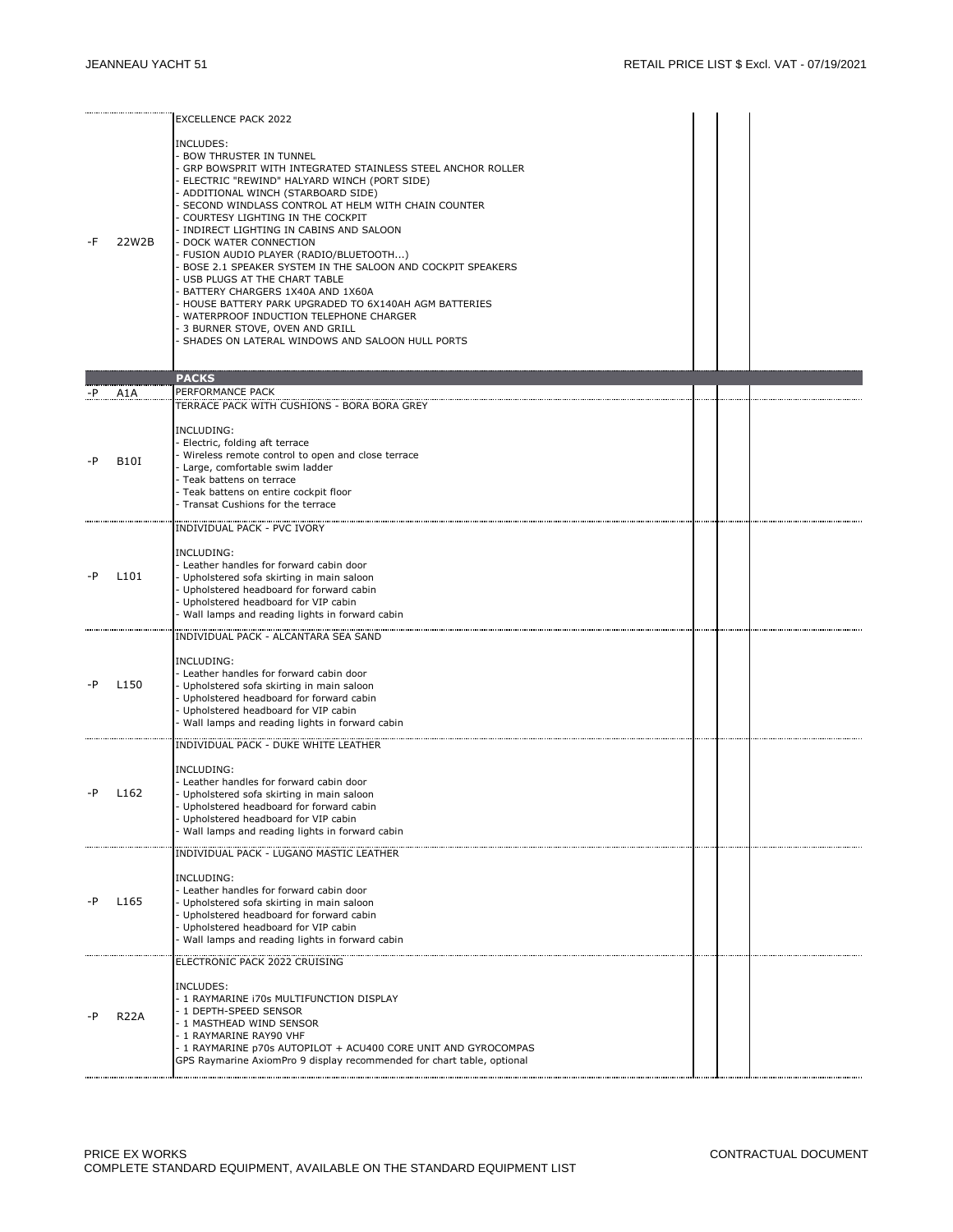|    | 22W2B            | <b>EXCELLENCE PACK 2022</b><br>INCLUDES:<br>- BOW THRUSTER IN TUNNEL<br>- GRP BOWSPRIT WITH INTEGRATED STAINLESS STEEL ANCHOR ROLLER<br>ELECTRIC "REWIND" HALYARD WINCH (PORT SIDE)<br>- ADDITIONAL WINCH (STARBOARD SIDE)<br>- SECOND WINDLASS CONTROL AT HELM WITH CHAIN COUNTER<br>COURTESY LIGHTING IN THE COCKPIT<br>- INDIRECT LIGHTING IN CABINS AND SALOON<br>- DOCK WATER CONNECTION<br>- FUSION AUDIO PLAYER (RADIO/BLUETOOTH)<br>- BOSE 2.1 SPEAKER SYSTEM IN THE SALOON AND COCKPIT SPEAKERS<br>USB PLUGS AT THE CHART TABLE<br>- BATTERY CHARGERS 1X40A AND 1X60A<br>- HOUSE BATTERY PARK UPGRADED TO 6X140AH AGM BATTERIES<br>WATERPROOF INDUCTION TELEPHONE CHARGER<br>- 3 BURNER STOVE, OVEN AND GRILL<br>- SHADES ON LATERAL WINDOWS AND SALOON HULL PORTS |  |  |
|----|------------------|-----------------------------------------------------------------------------------------------------------------------------------------------------------------------------------------------------------------------------------------------------------------------------------------------------------------------------------------------------------------------------------------------------------------------------------------------------------------------------------------------------------------------------------------------------------------------------------------------------------------------------------------------------------------------------------------------------------------------------------------------------------------------------|--|--|
|    |                  | <b>PACKS</b>                                                                                                                                                                                                                                                                                                                                                                                                                                                                                                                                                                                                                                                                                                                                                                |  |  |
| -P | A1A              | PERFORMANCE PACK                                                                                                                                                                                                                                                                                                                                                                                                                                                                                                                                                                                                                                                                                                                                                            |  |  |
| -P | B10I             | TERRACE PACK WITH CUSHIONS - BORA BORA GREY<br>INCLUDING:<br>- Electric, folding aft terrace<br>Wireless remote control to open and close terrace<br>- Large, comfortable swim ladder<br>- Teak battens on terrace<br>Teak battens on entire cockpit floor<br>- Transat Cushions for the terrace                                                                                                                                                                                                                                                                                                                                                                                                                                                                            |  |  |
|    | L <sub>101</sub> | INDIVIDUAL PACK - PVC IVORY<br>INCLUDING:<br>- Leather handles for forward cabin door<br>- Upholstered sofa skirting in main saloon<br>- Upholstered headboard for forward cabin<br>- Upholstered headboard for VIP cabin<br>Wall lamps and reading lights in forward cabin                                                                                                                                                                                                                                                                                                                                                                                                                                                                                                 |  |  |
| -P | L <sub>150</sub> | INDIVIDUAL PACK - ALCANTARA SEA SAND<br>INCLUDING:<br>- Leather handles for forward cabin door<br>- Upholstered sofa skirting in main saloon<br>Upholstered headboard for forward cabin<br>- Upholstered headboard for VIP cabin<br>Wall lamps and reading lights in forward cabin                                                                                                                                                                                                                                                                                                                                                                                                                                                                                          |  |  |
| -P | L <sub>162</sub> | INDIVIDUAL PACK - DUKE WHITE LEATHER<br>INCLUDING:<br>- Leather handles for forward cabin door<br>- Upholstered sofa skirting in main saloon<br>Upholstered headboard for forward cabin<br>Upholstered headboard for VIP cabin<br>Wall lamps and reading lights in forward cabin                                                                                                                                                                                                                                                                                                                                                                                                                                                                                            |  |  |
|    | L <sub>165</sub> | INDIVIDUAL PACK - LUGANO MASTIC LEATHER<br>INCLUDING:<br>- Leather handles for forward cabin door<br>Upholstered sofa skirting in main saloon<br>- Upholstered headboard for forward cabin<br>- Upholstered headboard for VIP cabin<br>- Wall lamps and reading lights in forward cabin                                                                                                                                                                                                                                                                                                                                                                                                                                                                                     |  |  |
|    | <b>R22A</b>      | ELECTRONIC PACK 2022 CRUISING<br>INCLUDES:<br>- 1 RAYMARINE 170s MULTIFUNCTION DISPLAY<br>- 1 DEPTH-SPEED SENSOR<br>- 1 MASTHEAD WIND SENSOR<br>- 1 RAYMARINE RAY90 VHF<br>- 1 RAYMARINE p70s AUTOPILOT + ACU400 CORE UNIT AND GYROCOMPAS<br>GPS Raymarine AxiomPro 9 display recommended for chart table, optional                                                                                                                                                                                                                                                                                                                                                                                                                                                         |  |  |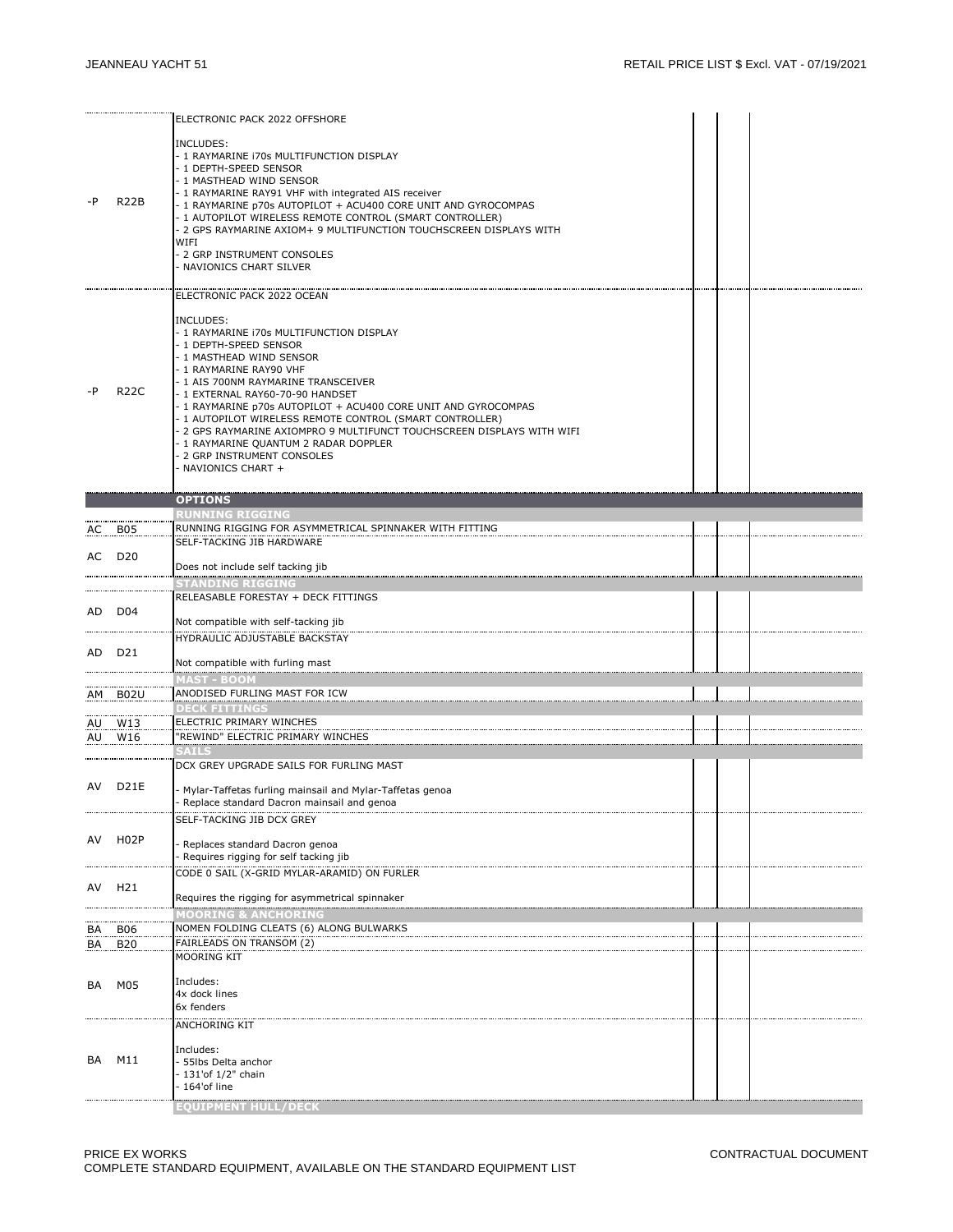| -P | <b>R22B</b>        | ELECTRONIC PACK 2022 OFFSHORE<br>INCLUDES:<br>- 1 RAYMARINE 170s MULTIFUNCTION DISPLAY<br>- 1 DEPTH-SPEED SENSOR<br>- 1 MASTHEAD WIND SENSOR<br>- 1 RAYMARINE RAY91 VHF with integrated AIS receiver<br>- 1 RAYMARINE p70s AUTOPILOT + ACU400 CORE UNIT AND GYROCOMPAS<br>- 1 AUTOPILOT WIRELESS REMOTE CONTROL (SMART CONTROLLER)<br>- 2 GPS RAYMARINE AXIOM+ 9 MULTIFUNCTION TOUCHSCREEN DISPLAYS WITH<br>WIFI<br>- 2 GRP INSTRUMENT CONSOLES<br>- NAVIONICS CHART SILVER                                                                          |  |  |
|----|--------------------|------------------------------------------------------------------------------------------------------------------------------------------------------------------------------------------------------------------------------------------------------------------------------------------------------------------------------------------------------------------------------------------------------------------------------------------------------------------------------------------------------------------------------------------------------|--|--|
| -P | <b>R22C</b>        | ELECTRONIC PACK 2022 OCEAN<br>INCLUDES:<br>- 1 RAYMARINE i70s MULTIFUNCTION DISPLAY<br>- 1 DEPTH-SPEED SENSOR<br>- 1 MASTHEAD WIND SENSOR<br>- 1 RAYMARINE RAY90 VHF<br>- 1 AIS 700NM RAYMARINE TRANSCEIVER<br>- 1 EXTERNAL RAY60-70-90 HANDSET<br>- 1 RAYMARINE p70s AUTOPILOT + ACU400 CORE UNIT AND GYROCOMPAS<br>- 1 AUTOPILOT WIRELESS REMOTE CONTROL (SMART CONTROLLER)<br>- 2 GPS RAYMARINE AXIOMPRO 9 MULTIFUNCT TOUCHSCREEN DISPLAYS WITH WIFI<br>- 1 RAYMARINE QUANTUM 2 RADAR DOPPLER<br>2 GRP INSTRUMENT CONSOLES<br>- NAVIONICS CHART + |  |  |
|    |                    | <b>OPTIONS</b>                                                                                                                                                                                                                                                                                                                                                                                                                                                                                                                                       |  |  |
|    |                    | <b>RUNNING RIGGING</b>                                                                                                                                                                                                                                                                                                                                                                                                                                                                                                                               |  |  |
|    | AC B05             | RUNNING RIGGING FOR ASYMMETRICAL SPINNAKER WITH FITTING                                                                                                                                                                                                                                                                                                                                                                                                                                                                                              |  |  |
|    |                    | SELF-TACKING JIB HARDWARE                                                                                                                                                                                                                                                                                                                                                                                                                                                                                                                            |  |  |
|    | AC D <sub>20</sub> |                                                                                                                                                                                                                                                                                                                                                                                                                                                                                                                                                      |  |  |
|    |                    | Does not include self tacking jib                                                                                                                                                                                                                                                                                                                                                                                                                                                                                                                    |  |  |
|    |                    | <b>STANDING RIGGING</b>                                                                                                                                                                                                                                                                                                                                                                                                                                                                                                                              |  |  |
|    |                    | RELEASABLE FORESTAY + DECK FITTINGS                                                                                                                                                                                                                                                                                                                                                                                                                                                                                                                  |  |  |
|    | AD D04             |                                                                                                                                                                                                                                                                                                                                                                                                                                                                                                                                                      |  |  |
|    |                    | Not compatible with self-tacking jib                                                                                                                                                                                                                                                                                                                                                                                                                                                                                                                 |  |  |
|    |                    | HYDRAULIC ADJUSTABLE BACKSTAY                                                                                                                                                                                                                                                                                                                                                                                                                                                                                                                        |  |  |
|    | AD D21             |                                                                                                                                                                                                                                                                                                                                                                                                                                                                                                                                                      |  |  |
|    |                    | Not compatible with furling mast                                                                                                                                                                                                                                                                                                                                                                                                                                                                                                                     |  |  |
|    |                    | IAST - BOOM                                                                                                                                                                                                                                                                                                                                                                                                                                                                                                                                          |  |  |
|    | AM B02U            | ANODISED FURLING MAST FOR ICW                                                                                                                                                                                                                                                                                                                                                                                                                                                                                                                        |  |  |
|    |                    | DECK FITTINGS                                                                                                                                                                                                                                                                                                                                                                                                                                                                                                                                        |  |  |
|    | <u>AU W13</u>      | ELECTRIC PRIMARY WINCHES                                                                                                                                                                                                                                                                                                                                                                                                                                                                                                                             |  |  |
|    | AU W16             | "REWIND" ELECTRIC PRIMARY WINCHES                                                                                                                                                                                                                                                                                                                                                                                                                                                                                                                    |  |  |
|    |                    | SAILS                                                                                                                                                                                                                                                                                                                                                                                                                                                                                                                                                |  |  |
|    |                    | DCX GREY UPGRADE SAILS FOR FURLING MAST                                                                                                                                                                                                                                                                                                                                                                                                                                                                                                              |  |  |
|    |                    |                                                                                                                                                                                                                                                                                                                                                                                                                                                                                                                                                      |  |  |
|    | AV D21E            | - Mylar-Taffetas furling mainsail and Mylar-Taffetas genoa                                                                                                                                                                                                                                                                                                                                                                                                                                                                                           |  |  |
|    |                    | - Replace standard Dacron mainsail and genoa                                                                                                                                                                                                                                                                                                                                                                                                                                                                                                         |  |  |
|    |                    | SELF-TACKING JIB DCX GREY                                                                                                                                                                                                                                                                                                                                                                                                                                                                                                                            |  |  |
| AV | H <sub>02</sub> P  |                                                                                                                                                                                                                                                                                                                                                                                                                                                                                                                                                      |  |  |
|    |                    | Replaces standard Dacron genoa<br>Requires rigging for self tacking jib                                                                                                                                                                                                                                                                                                                                                                                                                                                                              |  |  |
|    |                    |                                                                                                                                                                                                                                                                                                                                                                                                                                                                                                                                                      |  |  |
|    |                    | CODE 0 SAIL (X-GRID MYLAR-ARAMID) ON FURLER                                                                                                                                                                                                                                                                                                                                                                                                                                                                                                          |  |  |
| AV | H21                | Requires the rigging for asymmetrical spinnaker                                                                                                                                                                                                                                                                                                                                                                                                                                                                                                      |  |  |
|    |                    | MOORING & ANCHORING                                                                                                                                                                                                                                                                                                                                                                                                                                                                                                                                  |  |  |
| BA | <b>B06</b>         | NOMEN FOLDING CLEATS (6) ALONG BULWARKS                                                                                                                                                                                                                                                                                                                                                                                                                                                                                                              |  |  |
| BA | <b>B20</b>         | FAIRLEADS ON TRANSOM (2)                                                                                                                                                                                                                                                                                                                                                                                                                                                                                                                             |  |  |
|    |                    | <b>MOORING KIT</b>                                                                                                                                                                                                                                                                                                                                                                                                                                                                                                                                   |  |  |
|    |                    |                                                                                                                                                                                                                                                                                                                                                                                                                                                                                                                                                      |  |  |
| BA | M05                | Includes:                                                                                                                                                                                                                                                                                                                                                                                                                                                                                                                                            |  |  |
|    |                    | 4x dock lines                                                                                                                                                                                                                                                                                                                                                                                                                                                                                                                                        |  |  |
|    |                    | 6x fenders                                                                                                                                                                                                                                                                                                                                                                                                                                                                                                                                           |  |  |
|    |                    | ANCHORING KIT                                                                                                                                                                                                                                                                                                                                                                                                                                                                                                                                        |  |  |
|    |                    |                                                                                                                                                                                                                                                                                                                                                                                                                                                                                                                                                      |  |  |
| BA | M11                | Includes:<br>- 55lbs Delta anchor                                                                                                                                                                                                                                                                                                                                                                                                                                                                                                                    |  |  |
|    |                    | - 131'of 1/2" chain                                                                                                                                                                                                                                                                                                                                                                                                                                                                                                                                  |  |  |
|    |                    | - 164'of line                                                                                                                                                                                                                                                                                                                                                                                                                                                                                                                                        |  |  |
|    |                    |                                                                                                                                                                                                                                                                                                                                                                                                                                                                                                                                                      |  |  |
|    |                    | <b>EQUIPMENT HULL/DECI</b>                                                                                                                                                                                                                                                                                                                                                                                                                                                                                                                           |  |  |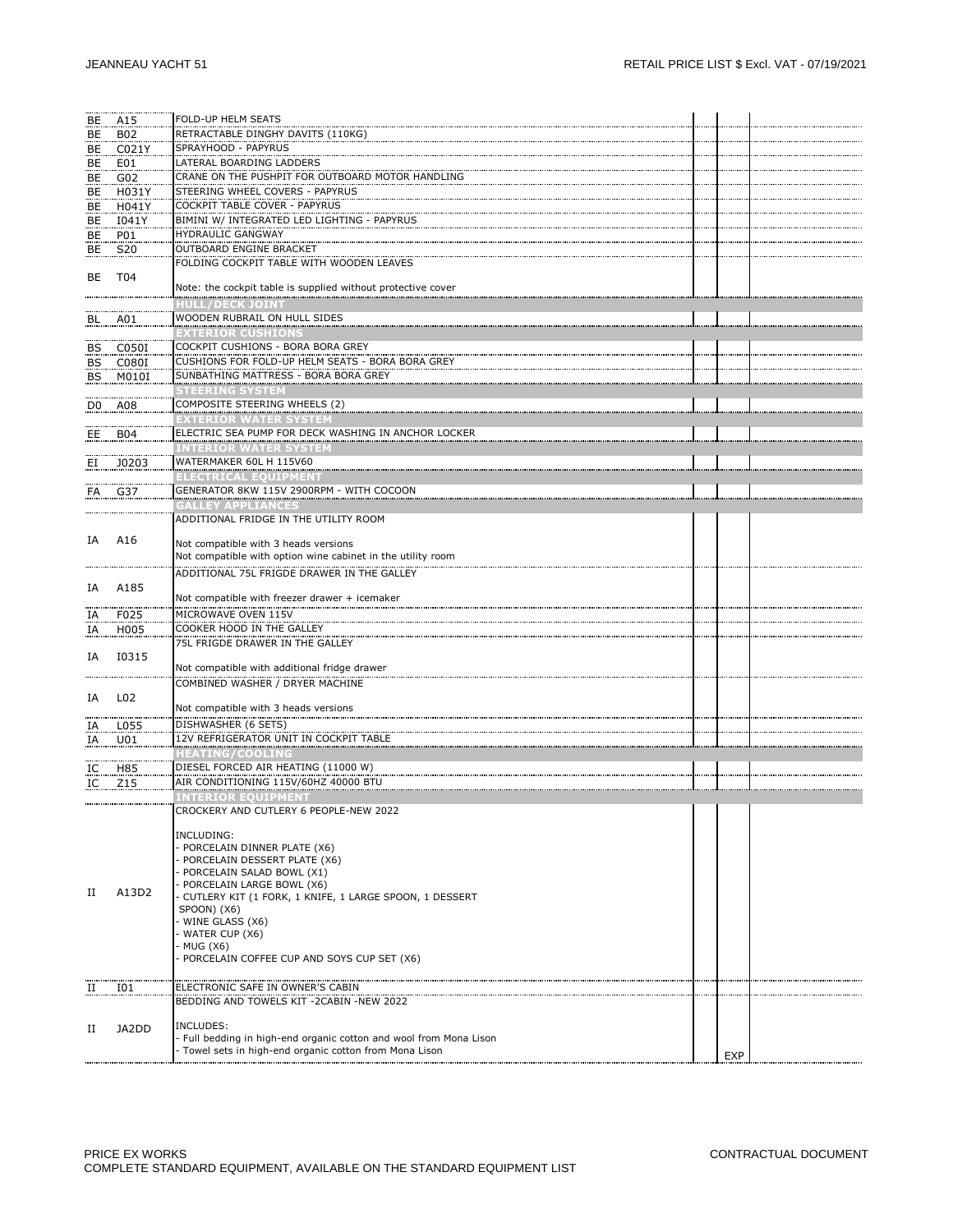| BE | A15             | FOLD-UP HELM SEATS                                                                                                            |     |  |
|----|-----------------|-------------------------------------------------------------------------------------------------------------------------------|-----|--|
| BE | B02             | RETRACTABLE DINGHY DAVITS (110KG)                                                                                             |     |  |
| BE | C021Y           | SPRAYHOOD - PAPYRUS                                                                                                           |     |  |
| BE | E01             | LATERAL BOARDING LADDERS                                                                                                      |     |  |
| BE | G02             | CRANE ON THE PUSHPIT FOR OUTBOARD MOTOR HANDLING                                                                              |     |  |
| BE | H031Y           | STEERING WHEEL COVERS - PAPYRUS                                                                                               |     |  |
| BE | H041Y           | COCKPIT TABLE COVER - PAPYRUS                                                                                                 |     |  |
| BE | I041Y           | BIMINI W/ INTEGRATED LED LIGHTING - PAPYRUS                                                                                   |     |  |
| BE | P01             | HYDRAULIC GANGWAY                                                                                                             |     |  |
| BE | S20             | OUTBOARD ENGINE BRACKET                                                                                                       |     |  |
|    |                 | FOLDING COCKPIT TABLE WITH WOODEN LEAVES                                                                                      |     |  |
| BE | T04             |                                                                                                                               |     |  |
|    |                 | Note: the cockpit table is supplied without protective cover                                                                  |     |  |
|    |                 | HULL/DECK JOINT                                                                                                               |     |  |
|    | BL A01          | WOODEN RUBRAIL ON HULL SIDES                                                                                                  |     |  |
|    |                 | <b>EXTERIOR CUSHIONS</b>                                                                                                      |     |  |
|    | BS C050I        | COCKPIT CUSHIONS - BORA BORA GREY                                                                                             |     |  |
|    | BS C080I        | CUSHIONS FOR FOLD-UP HELM SEATS - BORA BORA GREY                                                                              |     |  |
|    | <b>BS</b> M010I | SUNBATHING MATTRESS - BORA BORA GREY                                                                                          |     |  |
|    |                 | <b>STEERING SYSTEM</b>                                                                                                        |     |  |
|    | D0 A08          | COMPOSITE STEERING WHEELS (2)                                                                                                 |     |  |
|    |                 | <b>EXTERIOR WATER SYSTEM</b>                                                                                                  |     |  |
|    | $EE$ BO4        | ELECTRIC SEA PUMP FOR DECK WASHING IN ANCHOR LOCKER                                                                           |     |  |
|    |                 | <b>INTERIOR WATER SYSTEM</b>                                                                                                  |     |  |
| EI | J0203           | WATERMAKER 60L H 115V60                                                                                                       |     |  |
|    |                 | ELECTRICAL EQUIPMENT                                                                                                          |     |  |
|    | FA G37          | GENERATOR 8KW 115V 2900RPM - WITH COCOON                                                                                      |     |  |
|    |                 | <b>GALLEY APPLIANCES</b>                                                                                                      |     |  |
|    |                 | ADDITIONAL FRIDGE IN THE UTILITY ROOM                                                                                         |     |  |
| IA | A16             | Not compatible with 3 heads versions                                                                                          |     |  |
|    |                 | Not compatible with option wine cabinet in the utility room                                                                   |     |  |
|    |                 | ADDITIONAL 75L FRIGDE DRAWER IN THE GALLEY                                                                                    |     |  |
| IA | A185            |                                                                                                                               |     |  |
|    |                 | Not compatible with freezer drawer + icemaker                                                                                 |     |  |
|    | IA F025         | MICROWAVE OVEN 115V                                                                                                           |     |  |
| IA | H005            | COOKER HOOD IN THE GALLEY                                                                                                     |     |  |
|    |                 | 75L FRIGDE DRAWER IN THE GALLEY                                                                                               |     |  |
| IA | 10315           |                                                                                                                               |     |  |
|    |                 | Not compatible with additional fridge drawer                                                                                  |     |  |
|    |                 | COMBINED WASHER / DRYER MACHINE                                                                                               |     |  |
| IA | L02             |                                                                                                                               |     |  |
|    |                 | Not compatible with 3 heads versions                                                                                          |     |  |
| IA | L055            | DISHWASHER (6 SETS)                                                                                                           |     |  |
| IA | U01             | 12V REFRIGERATOR UNIT IN COCKPIT TABLE                                                                                        |     |  |
|    |                 | <b>HEATING/COOLING</b>                                                                                                        |     |  |
| IC | H85             | DIESEL FORCED AIR HEATING (11000 W)                                                                                           |     |  |
|    | $IC$ $Z15$      | AIR CONDITIONING 115V/60HZ 40000 BTU                                                                                          |     |  |
|    |                 | <b>INTERIOR EQUIPMENT</b>                                                                                                     |     |  |
|    |                 | CROCKERY AND CUTLERY 6 PEOPLE-NEW 2022                                                                                        |     |  |
|    |                 | INCLUDING:                                                                                                                    |     |  |
|    |                 | - PORCELAIN DINNER PLATE (X6)                                                                                                 |     |  |
|    |                 | - PORCELAIN DESSERT PLATE (X6)                                                                                                |     |  |
|    |                 | - PORCELAIN SALAD BOWL (X1)                                                                                                   |     |  |
| П  | A13D2           | - PORCELAIN LARGE BOWL (X6)                                                                                                   |     |  |
|    |                 | - CUTLERY KIT (1 FORK, 1 KNIFE, 1 LARGE SPOON, 1 DESSERT                                                                      |     |  |
|    |                 | SPOON) (X6)<br>- WINE GLASS (X6)                                                                                              |     |  |
|    |                 | - WATER CUP (X6)                                                                                                              |     |  |
|    |                 | - MUG (X6)                                                                                                                    |     |  |
|    |                 | - PORCELAIN COFFEE CUP AND SOYS CUP SET (X6)                                                                                  |     |  |
|    |                 |                                                                                                                               |     |  |
| п  | I01             | ELECTRONIC SAFE IN OWNER'S CABIN                                                                                              |     |  |
|    |                 | BEDDING AND TOWELS KIT - 2CABIN -NEW 2022                                                                                     |     |  |
|    |                 |                                                                                                                               |     |  |
| П  | JA2DD           | INCLUDES:                                                                                                                     |     |  |
|    |                 | - Full bedding in high-end organic cotton and wool from Mona Lison<br>- Towel sets in high-end organic cotton from Mona Lison |     |  |
|    |                 |                                                                                                                               | EXP |  |